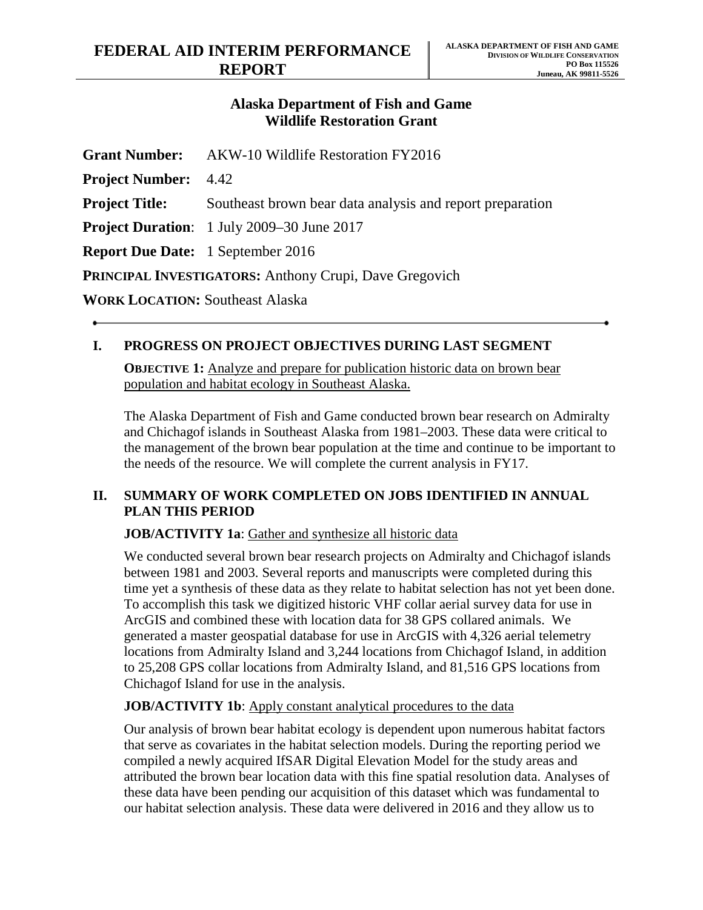## **Alaska Department of Fish and Game Wildlife Restoration Grant**

|                                                               | <b>Grant Number:</b> AKW-10 Wildlife Restoration FY2016   |
|---------------------------------------------------------------|-----------------------------------------------------------|
| <b>Project Number:</b> 4.42                                   |                                                           |
| <b>Project Title:</b>                                         | Southeast brown bear data analysis and report preparation |
|                                                               | <b>Project Duration:</b> 1 July 2009–30 June 2017         |
| <b>Report Due Date:</b> 1 September 2016                      |                                                           |
| <b>PRINCIPAL INVESTIGATORS: Anthony Crupi, Dave Gregovich</b> |                                                           |
| <b>WORK LOCATION: Southeast Alaska</b>                        |                                                           |

## **I. PROGRESS ON PROJECT OBJECTIVES DURING LAST SEGMENT**

**OBJECTIVE 1:** Analyze and prepare for publication historic data on brown bear population and habitat ecology in Southeast Alaska.

The Alaska Department of Fish and Game conducted brown bear research on Admiralty and Chichagof islands in Southeast Alaska from 1981–2003. These data were critical to the management of the brown bear population at the time and continue to be important to the needs of the resource. We will complete the current analysis in FY17.

## **II. SUMMARY OF WORK COMPLETED ON JOBS IDENTIFIED IN ANNUAL PLAN THIS PERIOD**

**JOB/ACTIVITY 1a**: Gather and synthesize all historic data

We conducted several brown bear research projects on Admiralty and Chichagof islands between 1981 and 2003. Several reports and manuscripts were completed during this time yet a synthesis of these data as they relate to habitat selection has not yet been done. To accomplish this task we digitized historic VHF collar aerial survey data for use in ArcGIS and combined these with location data for 38 GPS collared animals. We generated a master geospatial database for use in ArcGIS with 4,326 aerial telemetry locations from Admiralty Island and 3,244 locations from Chichagof Island, in addition to 25,208 GPS collar locations from Admiralty Island, and 81,516 GPS locations from Chichagof Island for use in the analysis.

## **JOB/ACTIVITY 1b:** Apply constant analytical procedures to the data

Our analysis of brown bear habitat ecology is dependent upon numerous habitat factors that serve as covariates in the habitat selection models. During the reporting period we compiled a newly acquired IfSAR Digital Elevation Model for the study areas and attributed the brown bear location data with this fine spatial resolution data. Analyses of these data have been pending our acquisition of this dataset which was fundamental to our habitat selection analysis. These data were delivered in 2016 and they allow us to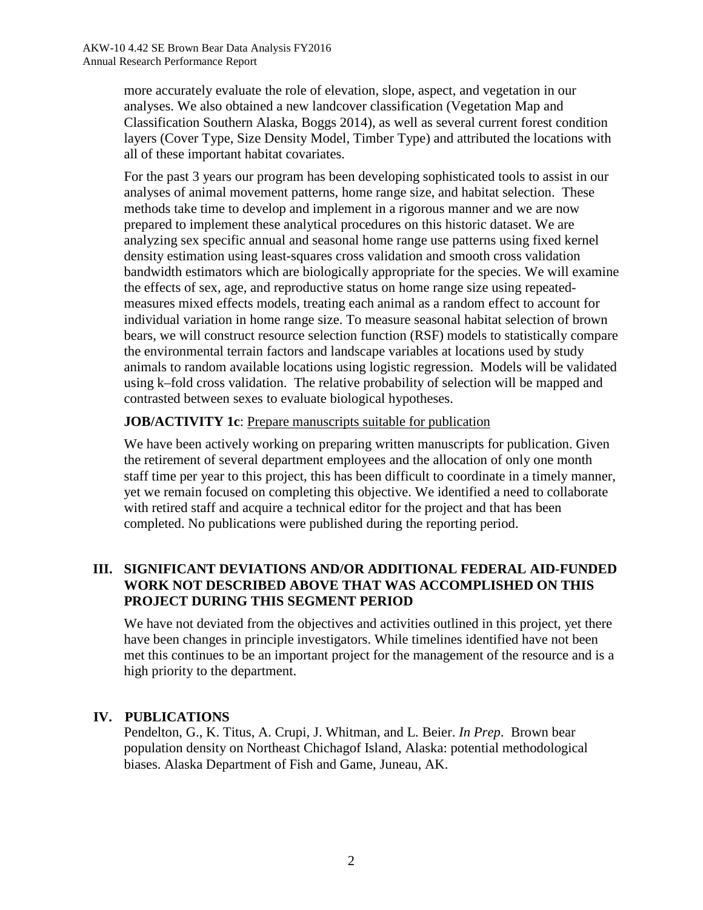more accurately evaluate the role of elevation, slope, aspect, and vegetation in our analyses. We also obtained a new landcover classification (Vegetation Map and Classification Southern Alaska, Boggs 2014), as well as several current forest condition layers (Cover Type, Size Density Model, Timber Type) and attributed the locations with all of these important habitat covariates.

For the past 3 years our program has been developing sophisticated tools to assist in our analyses of animal movement patterns, home range size, and habitat selection. These methods take time to develop and implement in a rigorous manner and we are now prepared to implement these analytical procedures on this historic dataset. We are analyzing sex specific annual and seasonal home range use patterns using fixed kernel density estimation using least-squares cross validation and smooth cross validation bandwidth estimators which are biologically appropriate for the species. We will examine the effects of sex, age, and reproductive status on home range size using repeatedmeasures mixed effects models, treating each animal as a random effect to account for individual variation in home range size. To measure seasonal habitat selection of brown bears, we will construct resource selection function (RSF) models to statistically compare the environmental terrain factors and landscape variables at locations used by study animals to random available locations using logistic regression. Models will be validated using k–fold cross validation. The relative probability of selection will be mapped and contrasted between sexes to evaluate biological hypotheses.

#### **JOB/ACTIVITY 1c**: Prepare manuscripts suitable for publication

We have been actively working on preparing written manuscripts for publication. Given the retirement of several department employees and the allocation of only one month staff time per year to this project, this has been difficult to coordinate in a timely manner, yet we remain focused on completing this objective. We identified a need to collaborate with retired staff and acquire a technical editor for the project and that has been completed. No publications were published during the reporting period.

## **III. SIGNIFICANT DEVIATIONS AND/OR ADDITIONAL FEDERAL AID-FUNDED WORK NOT DESCRIBED ABOVE THAT WAS ACCOMPLISHED ON THIS PROJECT DURING THIS SEGMENT PERIOD**

We have not deviated from the objectives and activities outlined in this project, yet there have been changes in principle investigators. While timelines identified have not been met this continues to be an important project for the management of the resource and is a high priority to the department.

# **IV. PUBLICATIONS**

Pendelton, G., K. Titus, A. Crupi, J. Whitman, and L. Beier. *In Prep*. Brown bear population density on Northeast Chichagof Island, Alaska: potential methodological biases. Alaska Department of Fish and Game, Juneau, AK.